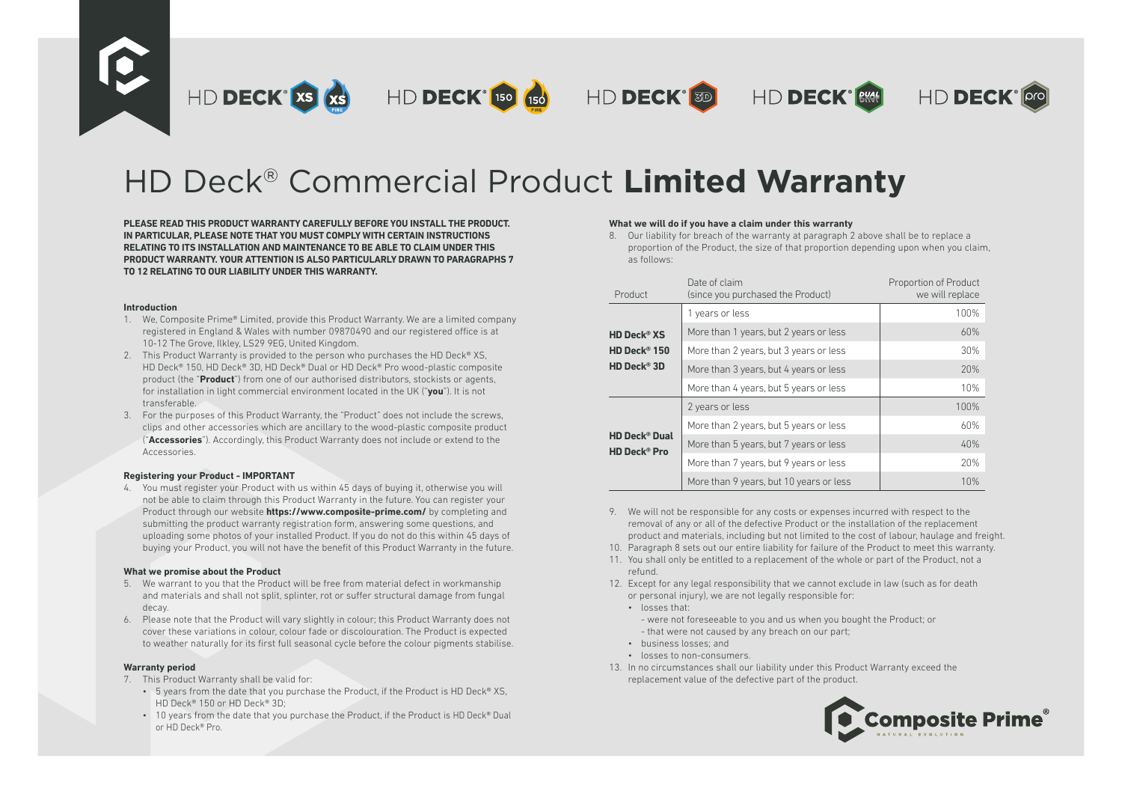

# HD Deck® Commercial Product **Limited Warranty**

**PLEASE READ THIS PRODUCT WARRANTY CAREFULLY BEFORE YOU INSTALL THE PRODUCT. IN PARTICULAR, PLEASE NOTE THAT YOU MUST COMPLY WITH CERTAIN INSTRUCTIONS RELATING TO ITS INSTALLATION AND MAINTENANCE TO BE ABLE TO CLAIM UNDER THIS PRODUCT WARRANTY. YOUR ATTENTION IS ALSO PARTICULARLY DRAWN TO PARAGRAPHS 7 TO 12 RELATING TO OUR LIABILITY UNDER THIS WARRANTY.**

### **Introduction**

- 1. We, Composite Prime® Limited, provide this Product Warranty. We are a limited company registered in England & Wales with number 09870490 and our registered office is at 10-12 The Grove, Ilkley, LS29 9EG, United Kingdom.
- 2. This Product Warranty is provided to the person who purchases the HD Deck® XS, HD Deck® 150, HD Deck® 3D, HD Deck® Dual or HD Deck® Pro wood-plastic composite product (the "**Product**") from one of our authorised distributors, stockists or agents, for installation in light commercial environment located in the UK ("**you**"). It is not transferable.
- 3. For the purposes of this Product Warranty, the "Product" does not include the screws, clips and other accessories which are ancillary to the wood-plastic composite product ("**Accessories**"). Accordingly, this Product Warranty does not include or extend to the Accessories.

## **Registering your Product - IMPORTANT**

4. You must register your Product with us within 45 days of buying it, otherwise you will not be able to claim through this Product Warranty in the future. You can register your Product through our website **https://www.composite-prime.com/** by completing and submitting the product warranty registration form, answering some questions, and uploading some photos of your installed Product. If you do not do this within 45 days of buying your Product, you will not have the benefit of this Product Warranty in the future.

## **What we promise about the Product**

- 5. We warrant to you that the Product will be free from material defect in workmanship and materials and shall not split, splinter, rot or suffer structural damage from fungal decay.
- 6. Please note that the Product will vary slightly in colour; this Product Warranty does not cover these variations in colour, colour fade or discolouration. The Product is expected to weather naturally for its first full seasonal cycle before the colour pigments stabilise.

## **Warranty period**

- 7. This Product Warranty shall be valid for:
	- 5 years from the date that you purchase the Product, if the Product is HD Deck® XS. HD Deck® 150 or HD Deck® 3D;
	- 10 years from the date that you purchase the Product, if the Product is HD Deck® Dual or HD Deck® Pro.

## **What we will do if you have a claim under this warranty**

8. Our liability for breach of the warranty at paragraph 2 above shall be to replace a proportion of the Product, the size of that proportion depending upon when you claim, as follows:

| Product                                                           | Date of claim<br>(since you purchased the Product) | Proportion of Product<br>we will replace |
|-------------------------------------------------------------------|----------------------------------------------------|------------------------------------------|
|                                                                   | 1 years or less                                    | 100%                                     |
| <b>HD Deck® XS</b>                                                | More than 1 years, but 2 years or less             | 60%                                      |
| HD Deck® 150                                                      | More than 2 years, but 3 years or less             | 30%                                      |
| HD Deck® 3D                                                       | More than 3 years, but 4 years or less             | 20%                                      |
|                                                                   | More than 4 years, but 5 years or less             | 10%                                      |
| <b>HD Deck<sup>®</sup> Dual</b><br><b>HD Deck<sup>®</sup> Pro</b> | 2 years or less                                    | 100%                                     |
|                                                                   | More than 2 years, but 5 years or less             | 60%                                      |
|                                                                   | More than 5 years, but 7 years or less             | 40%                                      |
|                                                                   | More than 7 years, but 9 years or less             | 20%                                      |
|                                                                   | More than 9 years, but 10 years or less            | 10%                                      |

- 9. We will not be responsible for any costs or expenses incurred with respect to the removal of any or all of the defective Product or the installation of the replacement product and materials, including but not limited to the cost of labour, haulage and freight.
- 10. Paragraph 8 sets out our entire liability for failure of the Product to meet this warranty.
- 11. You shall only be entitled to a replacement of the whole or part of the Product, not a refund.
- 12. Except for any legal responsibility that we cannot exclude in law (such as for death or personal injury), we are not legally responsible for:
	- losses that:
		- were not foreseeable to you and us when you bought the Product; or - that were not caused by any breach on our part;
	- business losses; and
	- losses to non-consumers.
- 13. In no circumstances shall our liability under this Product Warranty exceed the replacement value of the defective part of the product.